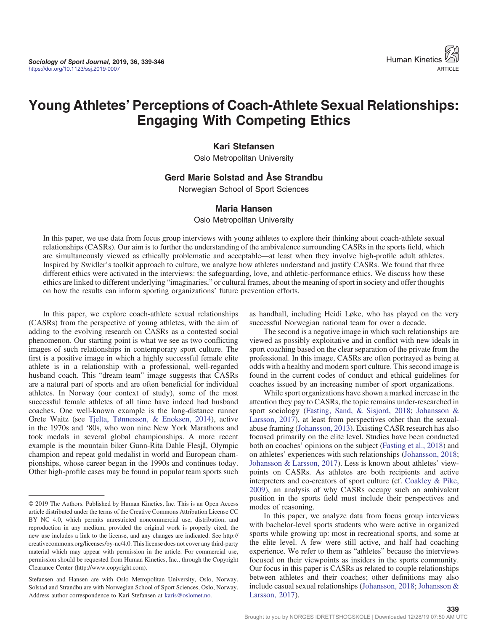

# Young Athletes' Perceptions of Coach-Athlete Sexual Relationships: Engaging With Competing Ethics

#### Kari Stefansen

Oslo Metropolitan University

#### Gerd Marie Solstad and Åse Strandbu

Norwegian School of Sport Sciences

#### Maria Hansen

Oslo Metropolitan University

In this paper, we use data from focus group interviews with young athletes to explore their thinking about coach-athlete sexual relationships (CASRs). Our aim is to further the understanding of the ambivalence surrounding CASRs in the sports field, which are simultaneously viewed as ethically problematic and acceptable—at least when they involve high-profile adult athletes. Inspired by Swidler's toolkit approach to culture, we analyze how athletes understand and justify CASRs. We found that three different ethics were activated in the interviews: the safeguarding, love, and athletic-performance ethics. We discuss how these ethics are linked to different underlying "imaginaries," or cultural frames, about the meaning of sport in society and offer thoughts on how the results can inform sporting organizations' future prevention efforts.

In this paper, we explore coach-athlete sexual relationships (CASRs) from the perspective of young athletes, with the aim of adding to the evolving research on CASRs as a contested social phenomenon. Our starting point is what we see as two conflicting images of such relationships in contemporary sport culture. The first is a positive image in which a highly successful female elite athlete is in a relationship with a professional, well-regarded husband coach. This "dream team" image suggests that CASRs are a natural part of sports and are often beneficial for individual athletes. In Norway (our context of study), some of the most successful female athletes of all time have indeed had husband coaches. One well-known example is the long-distance runner Grete Waitz (see [Tjelta, Tønnessen, & Enoksen, 2014](#page-7-0)), active in the 1970s and '80s, who won nine New York Marathons and took medals in several global championships. A more recent example is the mountain biker Gunn-Rita Dahle Flesjå, Olympic champion and repeat gold medalist in world and European championships, whose career began in the 1990s and continues today. Other high-profile cases may be found in popular team sports such as handball, including Heidi Løke, who has played on the very successful Norwegian national team for over a decade.

The second is a negative image in which such relationships are viewed as possibly exploitative and in conflict with new ideals in sport coaching based on the clear separation of the private from the professional. In this image, CASRs are often portrayed as being at odds with a healthy and modern sport culture. This second image is found in the current codes of conduct and ethical guidelines for coaches issued by an increasing number of sport organizations.

While sport organizations have shown a marked increase in the attention they pay to CASRs, the topic remains under-researched in sport sociology [\(Fasting, Sand, & Sisjord, 2018](#page-7-0); [Johansson &](#page-7-0) [Larsson, 2017](#page-7-0)), at least from perspectives other than the sexualabuse framing ([Johansson, 2013](#page-7-0)). Existing CASR research has also focused primarily on the elite level. Studies have been conducted both on coaches' opinions on the subject [\(Fasting et al., 2018\)](#page-7-0) and on athletes' experiences with such relationships [\(Johansson, 2018](#page-7-0); [Johansson & Larsson, 2017\)](#page-7-0). Less is known about athletes' viewpoints on CASRs. As athletes are both recipients and active interpreters and co-creators of sport culture (cf. [Coakley & Pike,](#page-7-0) [2009](#page-7-0)), an analysis of why CASRs occupy such an ambivalent position in the sports field must include their perspectives and modes of reasoning.

In this paper, we analyze data from focus group interviews with bachelor-level sports students who were active in organized sports while growing up: most in recreational sports, and some at the elite level. A few were still active, and half had coaching experience. We refer to them as "athletes" because the interviews focused on their viewpoints as insiders in the sports community. Our focus in this paper is CASRs as related to couple relationships between athletes and their coaches; other definitions may also include casual sexual relationships ([Johansson, 2018](#page-7-0); [Johansson &](#page-7-0) [Larsson, 2017](#page-7-0)).

<sup>© 2019</sup> The Authors. Published by Human Kinetics, Inc. This is an Open Access article distributed under the terms of the Creative Commons Attribution License CC BY NC 4.0, which permits unrestricted noncommercial use, distribution, and reproduction in any medium, provided the original work is properly cited, the new use includes a link to the license, and any changes are indicated. See http:// creativecommons.org/licenses/by-nc/4.0. This license does not cover any third-party material which may appear with permission in the article. For commercial use, permission should be requested from Human Kinetics, Inc., through the Copyright Clearance Center (http://www.copyright.com).

Stefansen and Hansen are with Oslo Metropolitan University, Oslo, Norway. Solstad and Strandbu are with Norwegian School of Sport Sciences, Oslo, Norway. Address author correspondence to Kari Stefansen at [karis@oslomet.no](mailto:karis@oslomet.no).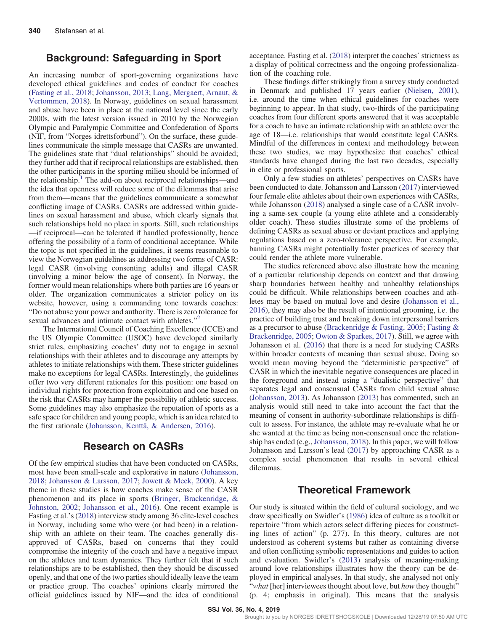## Background: Safeguarding in Sport

An increasing number of sport-governing organizations have developed ethical guidelines and codes of conduct for coaches [\(Fasting et al., 2018](#page-7-0); [Johansson, 2013;](#page-7-0) [Lang, Mergaert, Arnaut, &](#page-7-0) [Vertommen, 2018](#page-7-0)). In Norway, guidelines on sexual harassment and abuse have been in place at the national level since the early 2000s, with the latest version issued in 2010 by the Norwegian Olympic and Paralympic Committee and Confederation of Sports (NIF, from "Norges idrettsforbund"). On the surface, these guidelines communicate the simple message that CASRs are unwanted. The guidelines state that "dual relationships" should be avoided; they further add that if reciprocal relationships are established, then the other participants in the sporting milieu should be informed of the relationship.<sup>1</sup> The add-on about reciprocal relationships—and the idea that openness will reduce some of the dilemmas that arise from them—means that the guidelines communicate a somewhat conflicting image of CASRs. CASRs are addressed within guidelines on sexual harassment and abuse, which clearly signals that such relationships hold no place in sports. Still, such relationships —if reciprocal—can be tolerated if handled professionally, hence offering the possibility of a form of conditional acceptance. While the topic is not specified in the guidelines, it seems reasonable to view the Norwegian guidelines as addressing two forms of CASR: legal CASR (involving consenting adults) and illegal CASR (involving a minor below the age of consent). In Norway, the former would mean relationships where both parties are 16 years or older. The organization communicates a stricter policy on its website, however, using a commanding tone towards coaches: "Do not abuse your power and authority. There is zero tolerance for sexual advances and intimate contact with athletes."<sup>[2](#page-6-0)</sup>

The International Council of Coaching Excellence (ICCE) and the US Olympic Committee (USOC) have developed similarly strict rules, emphasizing coaches' duty not to engage in sexual relationships with their athletes and to discourage any attempts by athletes to initiate relationships with them. These stricter guidelines make no exceptions for legal CASRs. Interestingly, the guidelines offer two very different rationales for this position: one based on individual rights for protection from exploitation and one based on the risk that CASRs may hamper the possibility of athletic success. Some guidelines may also emphasize the reputation of sports as a safe space for children and young people, which is an idea related to the first rationale [\(Johansson, Kenttä, & Andersen, 2016\)](#page-7-0).

# Research on CASRs

Of the few empirical studies that have been conducted on CASRs, most have been small-scale and explorative in nature ([Johansson,](#page-7-0) [2018](#page-7-0); [Johansson & Larsson, 2017;](#page-7-0) [Jowett & Meek, 2000\)](#page-7-0). A key theme in these studies is how coaches make sense of the CASR phenomenon and its place in sports ([Bringer, Brackenridge, &](#page-7-0) [Johnston, 2002;](#page-7-0) [Johansson et al., 2016\)](#page-7-0). One recent example is Fasting et al.'s ([2018\)](#page-7-0) interview study among 36 elite-level coaches in Norway, including some who were (or had been) in a relationship with an athlete on their team. The coaches generally disapproved of CASRs, based on concerns that they could compromise the integrity of the coach and have a negative impact on the athletes and team dynamics. They further felt that if such relationships are to be established, then they should be discussed openly, and that one of the two parties should ideally leave the team or practice group. The coaches' opinions clearly mirrored the official guidelines issued by NIF—and the idea of conditional acceptance. Fasting et al. ([2018\)](#page-7-0) interpret the coaches' strictness as a display of political correctness and the ongoing professionalization of the coaching role.

These findings differ strikingly from a survey study conducted in Denmark and published 17 years earlier ([Nielsen, 2001](#page-7-0)), i.e. around the time when ethical guidelines for coaches were beginning to appear. In that study, two-thirds of the participating coaches from four different sports answered that it was acceptable for a coach to have an intimate relationship with an athlete over the age of 18—i.e. relationships that would constitute legal CASRs. Mindful of the differences in context and methodology between these two studies, we may hypothesize that coaches' ethical standards have changed during the last two decades, especially in elite or professional sports.

Only a few studies on athletes' perspectives on CASRs have been conducted to date. Johansson and Larsson ([2017\)](#page-7-0) interviewed four female elite athletes about their own experiences with CASRs, while Johansson [\(2018\)](#page-7-0) analysed a single case of a CASR involving a same-sex couple (a young elite athlete and a considerably older coach). These studies illustrate some of the problems of defining CASRs as sexual abuse or deviant practices and applying regulations based on a zero-tolerance perspective. For example, banning CASRs might potentially foster practices of secrecy that could render the athlete more vulnerable.

The studies referenced above also illustrate how the meaning of a particular relationship depends on context and that drawing sharp boundaries between healthy and unhealthy relationships could be difficult. While relationships between coaches and athletes may be based on mutual love and desire ([Johansson et al.,](#page-7-0) [2016](#page-7-0)), they may also be the result of intentional grooming, i.e. the practice of building trust and breaking down interpersonal barriers as a precursor to abuse [\(Brackenridge & Fasting, 2005;](#page-7-0) [Fasting &](#page-7-0) [Brackenridge, 2005](#page-7-0); [Owton & Sparkes, 2017\)](#page-7-0). Still, we agree with Johansson et al. [\(2016\)](#page-7-0) that there is a need for studying CASRs within broader contexts of meaning than sexual abuse. Doing so would mean moving beyond the "deterministic perspective" of CASR in which the inevitable negative consequences are placed in the foreground and instead using a "dualistic perspective" that separates legal and consensual CASRs from child sexual abuse [\(Johansson, 2013\)](#page-7-0). As Johansson ([2013\)](#page-7-0) has commented, such an analysis would still need to take into account the fact that the meaning of consent in authority-subordinate relationships is difficult to assess. For instance, the athlete may re-evaluate what he or she wanted at the time as being non-consensual once the relation-ship has ended (e.g., [Johansson, 2018](#page-7-0)). In this paper, we will follow Johansson and Larsson's lead [\(2017](#page-7-0)) by approaching CASR as a complex social phenomenon that results in several ethical dilemmas.

## Theoretical Framework

Our study is situated within the field of cultural sociology, and we draw specifically on Swidler's ([1986](#page-7-0)) idea of culture as a toolkit or repertoire "from which actors select differing pieces for constructing lines of action" (p. 277). In this theory, cultures are not understood as coherent systems but rather as containing diverse and often conflicting symbolic representations and guides to action and evaluation. Swidler's ([2013\)](#page-7-0) analysis of meaning-making around love relationships illustrates how the theory can be deployed in empirical analyses. In that study, she analysed not only "what [her] interviewees thought about love, but how they thought" (p. 4; emphasis in original). This means that the analysis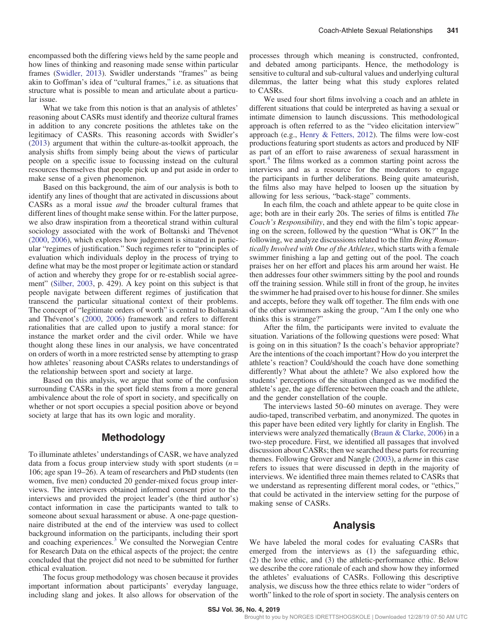encompassed both the differing views held by the same people and how lines of thinking and reasoning made sense within particular frames [\(Swidler, 2013\)](#page-7-0). Swidler understands "frames" as being akin to Goffman's idea of "cultural frames," i.e. as situations that structure what is possible to mean and articulate about a particular issue.

What we take from this notion is that an analysis of athletes' reasoning about CASRs must identify and theorize cultural frames in addition to any concrete positions the athletes take on the legitimacy of CASRs. This reasoning accords with Swidler's [\(2013](#page-7-0)) argument that within the culture-as-toolkit approach, the analysis shifts from simply being about the views of particular people on a specific issue to focussing instead on the cultural resources themselves that people pick up and put aside in order to make sense of a given phenomenon.

Based on this background, the aim of our analysis is both to identify any lines of thought that are activated in discussions about CASRs as a moral issue and the broader cultural frames that different lines of thought make sense within. For the latter purpose, we also draw inspiration from a theoretical strand within cultural sociology associated with the work of Boltanski and Thévenot [\(2000](#page-7-0), [2006](#page-7-0)), which explores how judgement is situated in particular "regimes of justification." Such regimes refer to "principles of evaluation which individuals deploy in the process of trying to define what may be the most proper or legitimate action or standard of action and whereby they grope for or re-establish social agreement" ([Silber, 2003,](#page-7-0) p. 429). A key point on this subject is that people navigate between different regimes of justification that transcend the particular situational context of their problems. The concept of "legitimate orders of worth" is central to Boltanski and Thévenot's ([2000,](#page-7-0) [2006](#page-7-0)) framework and refers to different rationalities that are called upon to justify a moral stance: for instance the market order and the civil order. While we have thought along these lines in our analysis, we have concentrated on orders of worth in a more restricted sense by attempting to grasp how athletes' reasoning about CASRs relates to understandings of the relationship between sport and society at large.

Based on this analysis, we argue that some of the confusion surrounding CASRs in the sport field stems from a more general ambivalence about the role of sport in society, and specifically on whether or not sport occupies a special position above or beyond society at large that has its own logic and morality.

## Methodology

To illuminate athletes' understandings of CASR, we have analyzed data from a focus group interview study with sport students  $(n =$ 106; age span 19–26). A team of researchers and PhD students (ten women, five men) conducted 20 gender-mixed focus group interviews. The interviewers obtained informed consent prior to the interviews and provided the project leader's (the third author's) contact information in case the participants wanted to talk to someone about sexual harassment or abuse. A one-page questionnaire distributed at the end of the interview was used to collect background information on the participants, including their sport and coaching experiences.[3](#page-6-0) We consulted the Norwegian Centre for Research Data on the ethical aspects of the project; the centre concluded that the project did not need to be submitted for further ethical evaluation.

The focus group methodology was chosen because it provides important information about participants' everyday language, including slang and jokes. It also allows for observation of the processes through which meaning is constructed, confronted, and debated among participants. Hence, the methodology is sensitive to cultural and sub-cultural values and underlying cultural dilemmas, the latter being what this study explores related to CASRs.

We used four short films involving a coach and an athlete in different situations that could be interpreted as having a sexual or intimate dimension to launch discussions. This methodological approach is often referred to as the "video elicitation interview" approach (e.g., [Henry & Fetters, 2012](#page-7-0)). The films were low-cost productions featuring sport students as actors and produced by NIF as part of an effort to raise awareness of sexual harassment in sport.<sup>[4](#page-6-0)</sup> The films worked as a common starting point across the interviews and as a resource for the moderators to engage the participants in further deliberations. Being quite amateurish, the films also may have helped to loosen up the situation by allowing for less serious, "back-stage" comments.

In each film, the coach and athlete appear to be quite close in age; both are in their early 20s. The series of films is entitled The Coach's Responsibility, and they end with the film's topic appearing on the screen, followed by the question "What is OK?" In the following, we analyze discussions related to the film Being Romantically Involved with One of the Athletes, which starts with a female swimmer finishing a lap and getting out of the pool. The coach praises her on her effort and places his arm around her waist. He then addresses four other swimmers sitting by the pool and rounds off the training session. While still in front of the group, he invites the swimmer he had praised over to his house for dinner. She smiles and accepts, before they walk off together. The film ends with one of the other swimmers asking the group, "Am I the only one who thinks this is strange?"

After the film, the participants were invited to evaluate the situation. Variations of the following questions were posed: What is going on in this situation? Is the coach's behavior appropriate? Are the intentions of the coach important? How do you interpret the athlete's reaction? Could/should the coach have done something differently? What about the athlete? We also explored how the students' perceptions of the situation changed as we modified the athlete's age, the age difference between the coach and the athlete, and the gender constellation of the couple.

The interviews lasted 50–60 minutes on average. They were audio-taped, transcribed verbatim, and anonymized. The quotes in this paper have been edited very lightly for clarity in English. The interviews were analyzed thematically [\(Braun & Clarke, 2006](#page-7-0)) in a two-step procedure. First, we identified all passages that involved discussion about CASRs; then we searched these parts for recurring themes. Following Grover and Nangle [\(2003](#page-7-0)), a theme in this case refers to issues that were discussed in depth in the majority of interviews. We identified three main themes related to CASRs that we understand as representing different moral codes, or "ethics," that could be activated in the interview setting for the purpose of making sense of CASRs.

## Analysis

We have labeled the moral codes for evaluating CASRs that emerged from the interviews as (1) the safeguarding ethic, (2) the love ethic, and (3) the athletic-performance ethic. Below we describe the core rationale of each and show how they informed the athletes' evaluations of CASRs. Following this descriptive analysis, we discuss how the three ethics relate to wider "orders of worth" linked to the role of sport in society. The analysis centers on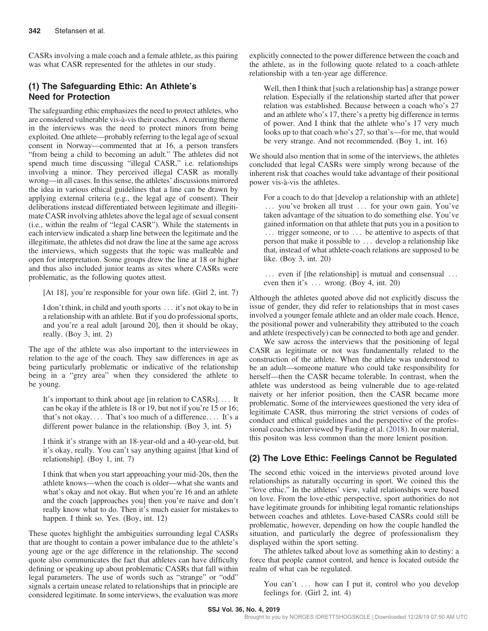CASRs involving a male coach and a female athlete, as this pairing was what CASR represented for the athletes in our study.

# (1) The Safeguarding Ethic: An Athlete's Need for Protection

The safeguarding ethic emphasizes the need to protect athletes, who are considered vulnerable vis-à-vis their coaches. A recurring theme in the interviews was the need to protect minors from being exploited. One athlete—probably referring to the legal age of sexual consent in Norway—commented that at 16, a person transfers "from being a child to becoming an adult." The athletes did not spend much time discussing "illegal CASR," i.e. relationships involving a minor. They perceived illegal CASR as morally wrong—in all cases. In this sense, the athletes' discussions mirrored the idea in various ethical guidelines that a line can be drawn by applying external criteria (e.g., the legal age of consent). Their deliberations instead differentiated between legitimate and illegitimate CASR involving athletes above the legal age of sexual consent (i.e., within the realm of "legal CASR"). While the statements in each interview indicated a sharp line between the legitimate and the illegitimate, the athletes did not draw the line at the same age across the interviews, which suggests that the topic was malleable and open for interpretation. Some groups drew the line at 18 or higher and thus also included junior teams as sites where CASRs were problematic, as the following quotes attest.

[At 18], you're responsible for your own life. (Girl 2, int. 7)

I don't think, in child and youth sports ... it's not okay to be in a relationship with an athlete. But if you do professional sports, and you're a real adult [around 20], then it should be okay, really. (Boy 3, int. 2)

The age of the athlete was also important to the interviewees in relation to the age of the coach. They saw differences in age as being particularly problematic or indicative of the relationship being in a "grey area" when they considered the athlete to be young.

It's important to think about age [in relation to CASRs].... It can be okay if the athlete is 18 or 19, but not if you're 15 or 16; that's not okay. ::: That's too much of a difference. ::: It's a different power balance in the relationship. (Boy 3, int. 5)

I think it's strange with an 18-year-old and a 40-year-old, but it's okay, really. You can't say anything against [that kind of relationship]. (Boy 1, int. 7)

I think that when you start approaching your mid-20s, then the athlete knows—when the coach is older—what she wants and what's okay and not okay. But when you're 16 and an athlete and the coach [approaches you] then you're naive and don't really know what to do. Then it's much easier for mistakes to happen. I think so. Yes. (Boy, int. 12)

These quotes highlight the ambiguities surrounding legal CASRs that are thought to contain a power imbalance due to the athlete's young age or the age difference in the relationship. The second quote also communicates the fact that athletes can have difficulty defining or speaking up about problematic CASRs that fall within legal parameters. The use of words such as "strange" or "odd" signals a certain unease related to relationships that in principle are considered legitimate. In some interviews, the evaluation was more explicitly connected to the power difference between the coach and the athlete, as in the following quote related to a coach-athlete relationship with a ten-year age difference.

Well, then I think that [such a relationship has] a strange power relation. Especially if the relationship started after that power relation was established. Because between a coach who's 27 and an athlete who's 17, there's a pretty big difference in terms of power. And I think that the athlete who's 17 very much looks up to that coach who's 27, so that's—for me, that would be very strange. And not recommended. (Boy 1, int. 16)

We should also mention that in some of the interviews, the athletes concluded that legal CASRs were simply wrong because of the inherent risk that coaches would take advantage of their positional power vis-à-vis the athletes.

For a coach to do that [develop a relationship with an athlete] ::: you've broken all trust ::: for your own gain. You've taken advantage of the situation to do something else. You've gained information on that athlete that puts you in a position to :.. trigger someone, or to ... be attentive to aspects of that person that make it possible to ::: develop a relationship like that, instead of what athlete-coach relations are supposed to be like. (Boy 3, int. 20)

... even if [the relationship] is mutual and consensual ... even then it's  $\dots$  wrong. (Boy 4, int. 20)

Although the athletes quoted above did not explicitly discuss the issue of gender, they did refer to relationships that in most cases involved a younger female athlete and an older male coach. Hence, the positional power and vulnerability they attributed to the coach and athlete (respectively) can be connected to both age and gender.

We saw across the interviews that the positioning of legal CASR as legitimate or not was fundamentally related to the construction of the athlete. When the athlete was understood to be an adult—someone mature who could take responsibility for herself—then the CASR became tolerable. In contrast, when the athlete was understood as being vulnerable due to age-related naivety or her inferior position, then the CASR became more problematic. Some of the interviewees questioned the very idea of legitimate CASR, thus mirroring the strict versions of codes of conduct and ethical guidelines and the perspective of the professional coaches interviewed by Fasting et al. [\(2018](#page-7-0)). In our material, this positon was less common than the more lenient position.

# (2) The Love Ethic: Feelings Cannot be Regulated

The second ethic voiced in the interviews pivoted around love relationships as naturally occurring in sport. We coined this the "love ethic." In the athletes' view, valid relationships were based on love. From the love-ethic perspective, sport authorities do not have legitimate grounds for inhibiting legal romantic relationships between coaches and athletes. Love-based CASRs could still be problematic, however, depending on how the couple handled the situation, and particularly the degree of professionalism they displayed within the sport setting.

The athletes talked about love as something akin to destiny: a force that people cannot control, and hence is located outside the realm of what can be regulated.

You can't ... how can I put it, control who you develop feelings for. (Girl 2, int. 4)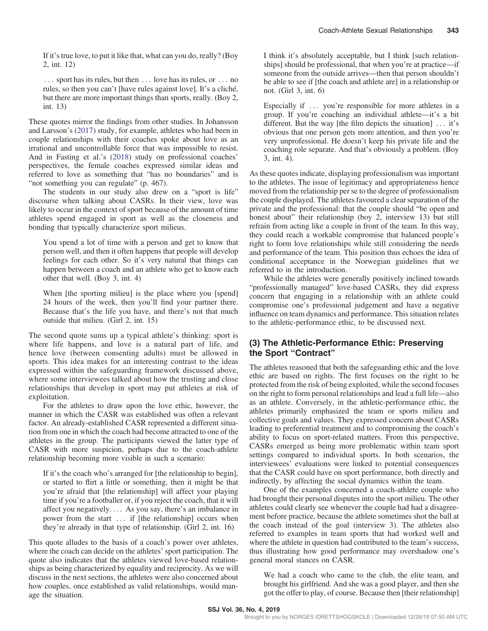If it's true love, to put it like that, what can you do, really? (Boy 2, int. 12)

:.. sport has its rules, but then ... love has its rules, or ... no rules, so then you can't [have rules against love]. It's a cliché, but there are more important things than sports, really. (Boy 2, int. 13)

These quotes mirror the findings from other studies. In Johansson and Larsson's ([2017\)](#page-7-0) study, for example, athletes who had been in couple relationships with their coaches spoke about love as an irrational and uncontrollable force that was impossible to resist. And in Fasting et al.'s ([2018\)](#page-7-0) study on professional coaches' perspectives, the female coaches expressed similar ideas and referred to love as something that "has no boundaries" and is "not something you can regulate" (p. 467).

The students in our study also drew on a "sport is life" discourse when talking about CASRs. In their view, love was likely to occur in the context of sport because of the amount of time athletes spend engaged in sport as well as the closeness and bonding that typically characterize sport milieus.

You spend a lot of time with a person and get to know that person well, and then it often happens that people will develop feelings for each other. So it's very natural that things can happen between a coach and an athlete who get to know each other that well. (Boy 3, int. 4)

When [the sporting milieu] is the place where you [spend] 24 hours of the week, then you'll find your partner there. Because that's the life you have, and there's not that much outside that milieu. (Girl 2, int. 15)

The second quote sums up a typical athlete's thinking: sport is where life happens, and love is a natural part of life, and hence love (between consenting adults) must be allowed in sports. This idea makes for an interesting contrast to the ideas expressed within the safeguarding framework discussed above, where some interviewees talked about how the trusting and close relationships that develop in sport may put athletes at risk of exploitation.

For the athletes to draw upon the love ethic, however, the manner in which the CASR was established was often a relevant factor. An already-established CASR represented a different situation from one in which the coach had become attracted to one of the athletes in the group. The participants viewed the latter type of CASR with more suspicion, perhaps due to the coach-athlete relationship becoming more visible in such a scenario:

If it's the coach who's arranged for [the relationship to begin], or started to flirt a little or something, then it might be that you're afraid that [the relationship] will affect your playing time if you're a footballer or, if you reject the coach, that it will affect you negatively. ::: As you say, there's an imbalance in power from the start ... if [the relationship] occurs when they're already in that type of relationship. (Girl 2, int. 16)

This quote alludes to the basis of a coach's power over athletes, where the coach can decide on the athletes' sport participation. The quote also indicates that the athletes viewed love-based relationships as being characterized by equality and reciprocity. As we will discuss in the next sections, the athletes were also concerned about how couples, once established as valid relationships, would manage the situation.

I think it's absolutely acceptable, but I think [such relationships] should be professional, that when you're at practice—if someone from the outside arrives—then that person shouldn't be able to see if [the coach and athlete are] in a relationship or not. (Girl 3, int. 6)

Especially if  $\ldots$  you're responsible for more athletes in a group. If you're coaching an individual athlete—it's a bit different. But the way [the film depicts the situation]  $\ldots$  it's obvious that one person gets more attention, and then you're very unprofessional. He doesn't keep his private life and the coaching role separate. And that's obviously a problem. (Boy 3, int. 4).

As these quotes indicate, displaying professionalism was important to the athletes. The issue of legitimacy and appropriateness hence moved from the relationship per se to the degree of professionalism the couple displayed. The athletes favoured a clear separation of the private and the professional: that the couple should "be open and honest about" their relationship (boy 2, interview 13) but still refrain from acting like a couple in front of the team. In this way, they could reach a workable compromise that balanced people's right to form love relationships while still considering the needs and performance of the team. This position thus echoes the idea of conditional acceptance in the Norwegian guidelines that we referred to in the introduction.

While the athletes were generally positively inclined towards "professionally managed" love-based CASRs, they did express concern that engaging in a relationship with an athlete could compromise one's professional judgement and have a negative influence on team dynamics and performance. This situation relates to the athletic-performance ethic, to be discussed next.

# (3) The Athletic-Performance Ethic: Preserving the Sport "Contract"

The athletes reasoned that both the safeguarding ethic and the love ethic are based on rights. The first focuses on the right to be protected from the risk of being exploited, while the second focuses on the right to form personal relationships and lead a full life—also as an athlete. Conversely, in the athletic-performance ethic, the athletes primarily emphasized the team or sports milieu and collective goals and values. They expressed concern about CASRs leading to preferential treatment and to compromising the coach's ability to focus on sport-related matters. From this perspective, CASRs emerged as being more problematic within team sport settings compared to individual sports. In both scenarios, the interviewees' evaluations were linked to potential consequences that the CASR could have on sport performance, both directly and indirectly, by affecting the social dynamics within the team.

One of the examples concerned a coach-athlete couple who had brought their personal disputes into the sport milieu. The other athletes could clearly see whenever the couple had had a disagreement before practice, because the athlete sometimes shot the ball at the coach instead of the goal (interview 3). The athletes also referred to examples in team sports that had worked well and where the athlete in question had contributed to the team's success, thus illustrating how good performance may overshadow one's general moral stances on CASR.

We had a coach who came to the club, the elite team, and brought his girlfriend. And she was a good player, and then she got the offer to play, of course. Because then [their relationship]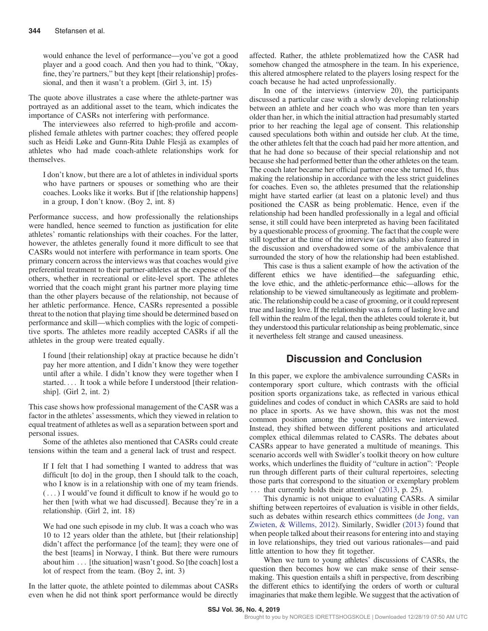would enhance the level of performance—you've got a good player and a good coach. And then you had to think, "Okay, fine, they're partners," but they kept [their relationship] professional, and then it wasn't a problem. (Girl 3, int. 15)

The quote above illustrates a case where the athlete-partner was portrayed as an additional asset to the team, which indicates the importance of CASRs not interfering with performance.

The interviewees also referred to high-profile and accomplished female athletes with partner coaches; they offered people such as Heidi Løke and Gunn-Rita Dahle Flesjå as examples of athletes who had made coach-athlete relationships work for themselves.

I don't know, but there are a lot of athletes in individual sports who have partners or spouses or something who are their coaches. Looks like it works. But if [the relationship happens] in a group, I don't know. (Boy 2, int. 8)

Performance success, and how professionally the relationships were handled, hence seemed to function as justification for elite athletes' romantic relationships with their coaches. For the latter, however, the athletes generally found it more difficult to see that CASRs would not interfere with performance in team sports. One primary concern across the interviews was that coaches would give preferential treatment to their partner-athletes at the expense of the others, whether in recreational or elite-level sport. The athletes worried that the coach might grant his partner more playing time than the other players because of the relationship, not because of her athletic performance. Hence, CASRs represented a possible threat to the notion that playing time should be determined based on performance and skill—which complies with the logic of competitive sports. The athletes more readily accepted CASRs if all the athletes in the group were treated equally.

I found [their relationship] okay at practice because he didn't pay her more attention, and I didn't know they were together until after a while. I didn't know they were together when I started.... It took a while before I understood [their relationship]. (Girl 2, int. 2)

This case shows how professional management of the CASR was a factor in the athletes' assessments, which they viewed in relation to equal treatment of athletes as well as a separation between sport and personal issues.

Some of the athletes also mentioned that CASRs could create tensions within the team and a general lack of trust and respect.

If I felt that I had something I wanted to address that was difficult [to do] in the group, then I should talk to the coach, who I know is in a relationship with one of my team friends. (...) I would've found it difficult to know if he would go to her then [with what we had discussed]. Because they're in a relationship. (Girl 2, int. 18)

We had one such episode in my club. It was a coach who was 10 to 12 years older than the athlete, but [their relationship] didn't affect the performance [of the team]; they were one of the best [teams] in Norway, I think. But there were rumours about him ... [the situation] wasn't good. So [the coach] lost a lot of respect from the team. (Boy 2, int. 3)

In the latter quote, the athlete pointed to dilemmas about CASRs even when he did not think sport performance would be directly

affected. Rather, the athlete problematized how the CASR had somehow changed the atmosphere in the team. In his experience, this altered atmosphere related to the players losing respect for the coach because he had acted unprofessionally.

In one of the interviews (interview 20), the participants discussed a particular case with a slowly developing relationship between an athlete and her coach who was more than ten years older than her, in which the initial attraction had presumably started prior to her reaching the legal age of consent. This relationship caused speculations both within and outside her club. At the time, the other athletes felt that the coach had paid her more attention, and that he had done so because of their special relationship and not because she had performed better than the other athletes on the team. The coach later became her official partner once she turned 16, thus making the relationship in accordance with the less strict guidelines for coaches. Even so, the athletes presumed that the relationship might have started earlier (at least on a platonic level) and thus positioned the CASR as being problematic. Hence, even if the relationship had been handled professionally in a legal and official sense, it still could have been interpreted as having been facilitated by a questionable process of grooming. The fact that the couple were still together at the time of the interview (as adults) also featured in the discussion and overshadowed some of the ambivalence that surrounded the story of how the relationship had been established.

This case is thus a salient example of how the activation of the different ethics we have identified—the safeguarding ethic, the love ethic, and the athletic-performance ethic—allows for the relationship to be viewed simultaneously as legitimate and problematic. The relationship could be a case of grooming, or it could represent true and lasting love. If the relationship was a form of lasting love and fell within the realm of the legal, then the athletes could tolerate it, but they understood this particular relationship as being problematic, since it nevertheless felt strange and caused uneasiness.

# Discussion and Conclusion

In this paper, we explore the ambivalence surrounding CASRs in contemporary sport culture, which contrasts with the official position sports organizations take, as reflected in various ethical guidelines and codes of conduct in which CASRs are said to hold no place in sports. As we have shown, this was not the most common position among the young athletes we interviewed. Instead, they shifted between different positions and articulated complex ethical dilemmas related to CASRs. The debates about CASRs appear to have generated a multitude of meanings. This scenario accords well with Swidler's toolkit theory on how culture works, which underlines the fluidity of "culture in action": 'People run through different parts of their cultural repertoires, selecting those parts that correspond to the situation or exemplary problem ... that currently holds their attention' ([2013,](#page-7-0) p. 25).

This dynamic is not unique to evaluating CASRs. A similar shifting between repertoires of evaluation is visible in other fields, such as debates within research ethics committees ([de Jong, van](#page-7-0) [Zwieten, & Willems, 2012\)](#page-7-0). Similarly, Swidler ([2013\)](#page-7-0) found that when people talked about their reasons for entering into and staying in love relationships, they tried out various rationales—and paid little attention to how they fit together.

When we turn to young athletes' discussions of CASRs, the question then becomes how we can make sense of their sensemaking. This question entails a shift in perspective, from describing the different ethics to identifying the orders of worth or cultural imaginaries that make them legible. We suggest that the activation of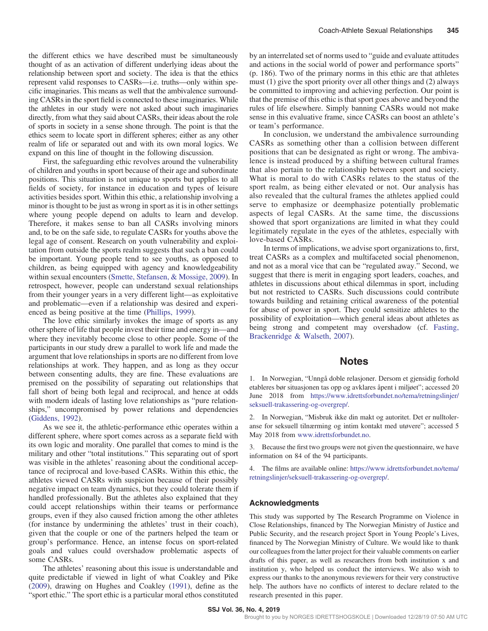<span id="page-6-0"></span>the different ethics we have described must be simultaneously thought of as an activation of different underlying ideas about the relationship between sport and society. The idea is that the ethics represent valid responses to CASRs—i.e. truths—only within specific imaginaries. This means as well that the ambivalence surrounding CASRs in the sport field is connected to these imaginaries. While the athletes in our study were not asked about such imaginaries directly, from what they said about CASRs, their ideas about the role of sports in society in a sense shone through. The point is that the ethics seem to locate sport in different spheres; either as any other realm of life or separated out and with its own moral logics. We expand on this line of thought in the following discussion.

First, the safeguarding ethic revolves around the vulnerability of children and youths in sport because of their age and subordinate positions. This situation is not unique to sports but applies to all fields of society, for instance in education and types of leisure activities besides sport. Within this ethic, a relationship involving a minor is thought to be just as wrong in sport as it is in other settings where young people depend on adults to learn and develop. Therefore, it makes sense to ban all CASRs involving minors and, to be on the safe side, to regulate CASRs for youths above the legal age of consent. Research on youth vulnerability and exploitation from outside the sports realm suggests that such a ban could be important. Young people tend to see youths, as opposed to children, as being equipped with agency and knowledgeability within sexual encounters [\(Smette, Stefansen, & Mossige, 2009\)](#page-7-0). In retrospect, however, people can understand sexual relationships from their younger years in a very different light—as exploitative and problematic—even if a relationship was desired and experienced as being positive at the time ([Phillips, 1999\)](#page-7-0).

The love ethic similarly invokes the image of sports as any other sphere of life that people invest their time and energy in—and where they inevitably become close to other people. Some of the participants in our study drew a parallel to work life and made the argument that love relationships in sports are no different from love relationships at work. They happen, and as long as they occur between consenting adults, they are fine. These evaluations are premised on the possibility of separating out relationships that fall short of being both legal and reciprocal, and hence at odds with modern ideals of lasting love relationships as "pure relationships," uncompromised by power relations and dependencies [\(Giddens, 1992](#page-7-0)).

As we see it, the athletic-performance ethic operates within a different sphere, where sport comes across as a separate field with its own logic and morality. One parallel that comes to mind is the military and other "total institutions." This separating out of sport was visible in the athletes' reasoning about the conditional acceptance of reciprocal and love-based CASRs. Within this ethic, the athletes viewed CASRs with suspicion because of their possibly negative impact on team dynamics, but they could tolerate them if handled professionally. But the athletes also explained that they could accept relationships within their teams or performance groups, even if they also caused friction among the other athletes (for instance by undermining the athletes' trust in their coach), given that the couple or one of the partners helped the team or group's performance. Hence, an intense focus on sport-related goals and values could overshadow problematic aspects of some CASRs.

The athletes' reasoning about this issue is understandable and quite predictable if viewed in light of what Coakley and Pike [\(2009](#page-7-0)), drawing on Hughes and Coakley [\(1991](#page-7-0)), define as the "sport ethic." The sport ethic is a particular moral ethos constituted by an interrelated set of norms used to "guide and evaluate attitudes and actions in the social world of power and performance sports" (p. 186). Two of the primary norms in this ethic are that athletes must (1) give the sport priority over all other things and (2) always be committed to improving and achieving perfection. Our point is that the premise of this ethic is that sport goes above and beyond the rules of life elsewhere. Simply banning CASRs would not make sense in this evaluative frame, since CASRs can boost an athlete's or team's performance.

In conclusion, we understand the ambivalence surrounding CASRs as something other than a collision between different positions that can be designated as right or wrong. The ambivalence is instead produced by a shifting between cultural frames that also pertain to the relationship between sport and society. What is moral to do with CASRs relates to the status of the sport realm, as being either elevated or not. Our analysis has also revealed that the cultural frames the athletes applied could serve to emphasize or deemphasize potentially problematic aspects of legal CASRs. At the same time, the discussions showed that sport organizations are limited in what they could legitimately regulate in the eyes of the athletes, especially with love-based CASRs.

In terms of implications, we advise sport organizations to, first, treat CASRs as a complex and multifaceted social phenomenon, and not as a moral vice that can be "regulated away." Second, we suggest that there is merit in engaging sport leaders, coaches, and athletes in discussions about ethical dilemmas in sport, including but not restricted to CASRs. Such discussions could contribute towards building and retaining critical awareness of the potential for abuse of power in sport. They could sensitize athletes to the possibility of exploitation—which general ideas about athletes as being strong and competent may overshadow (cf. [Fasting,](#page-7-0) [Brackenridge & Walseth, 2007\)](#page-7-0).

#### **Notes**

1. In Norwegian, "Unngå doble relasjoner. Dersom et gjensidig forhold etableres bør situasjonen tas opp og avklares åpent i miljøet"; accessed 20 June 2018 from [https://www.idrettsforbundet.no/tema/retningslinjer/](https://www.idrettsforbundet.no/tema/retningslinjer/seksuell-trakassering-og-overgrep/) [seksuell-trakassering-og-overgrep/](https://www.idrettsforbundet.no/tema/retningslinjer/seksuell-trakassering-og-overgrep/).

2. In Norwegian, "Misbruk ikke din makt og autoritet. Det er nulltoleranse for seksuell tilnærming og intim kontakt med utøvere"; accessed 5 May 2018 from <www.idrettsforbundet.no>.

3. Because the first two groups were not given the questionnaire, we have information on 84 of the 94 participants.

4. The films are available online: [https://www.idrettsforbundet.no/tema/](https://www.idrettsforbundet.no/tema/retningslinjer/seksuell-trakassering-og-overgrep/) [retningslinjer/seksuell-trakassering-og-overgrep/](https://www.idrettsforbundet.no/tema/retningslinjer/seksuell-trakassering-og-overgrep/).

#### Acknowledgments

This study was supported by The Research Programme on Violence in Close Relationships, financed by The Norwegian Ministry of Justice and Public Security, and the research project Sport in Young People's Lives, financed by The Norwegian Ministry of Culture. We would like to thank our colleagues from the latter project for their valuable comments on earlier drafts of this paper, as well as researchers from both institution x and institution y, who helped us conduct the interviews. We also wish to express our thanks to the anonymous reviewers for their very constructive help. The authors have no conflicts of interest to declare related to the research presented in this paper.